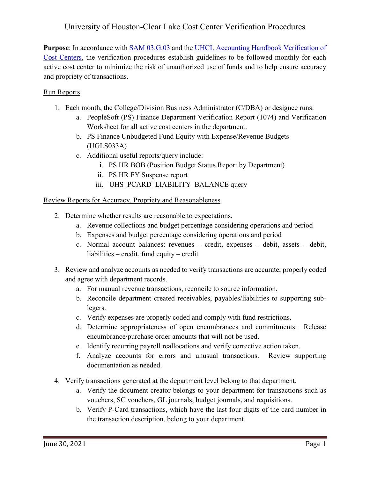# University of Houston-Clear Lake Cost Center Verification Procedures

Purpose: In accordance with **SAM 03.G.03** and the UHCL Accounting Handbook Verification of [Cost Centers,](https://www.uhcl.edu/about/administrative-offices/finance/handbooks/documents/verification-of-cost-centers.pdf) the verification procedures establish guidelines to be followed monthly for each active cost center to minimize the risk of unauthorized use of funds and to help ensure accuracy and propriety of transactions.

### Run Reports

- 1. Each month, the College/Division Business Administrator (C/DBA) or designee runs:
	- a. PeopleSoft (PS) Finance Department Verification Report (1074) and Verification Worksheet for all active cost centers in the department.
	- b. PS Finance Unbudgeted Fund Equity with Expense/Revenue Budgets (UGLS033A)
	- c. Additional useful reports/query include:
		- i. PS HR BOB (Position Budget Status Report by Department)
		- ii. PS HR FY Suspense report
		- iii. UHS\_PCARD\_LIABILITY\_BALANCE query

#### Review Reports for Accuracy, Propriety and Reasonableness

- 2. Determine whether results are reasonable to expectations.
	- a. Revenue collections and budget percentage considering operations and period
	- b. Expenses and budget percentage considering operations and period
	- c. Normal account balances: revenues credit, expenses debit, assets debit, liabilities – credit, fund equity – credit
- 3. Review and analyze accounts as needed to verify transactions are accurate, properly coded and agree with department records.
	- a. For manual revenue transactions, reconcile to source information.
	- b. Reconcile department created receivables, payables/liabilities to supporting sublegers.
	- c. Verify expenses are properly coded and comply with fund restrictions.
	- d. Determine appropriateness of open encumbrances and commitments. Release encumbrance/purchase order amounts that will not be used.
	- e. Identify recurring payroll reallocations and verify corrective action taken.
	- f. Analyze accounts for errors and unusual transactions. Review supporting documentation as needed.
- 4. Verify transactions generated at the department level belong to that department.
	- a. Verify the document creator belongs to your department for transactions such as vouchers, SC vouchers, GL journals, budget journals, and requisitions.
	- b. Verify P-Card transactions, which have the last four digits of the card number in the transaction description, belong to your department.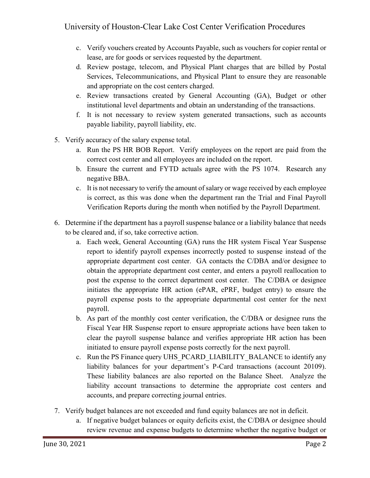- c. Verify vouchers created by Accounts Payable, such as vouchers for copier rental or lease, are for goods or services requested by the department.
- d. Review postage, telecom, and Physical Plant charges that are billed by Postal Services, Telecommunications, and Physical Plant to ensure they are reasonable and appropriate on the cost centers charged.
- e. Review transactions created by General Accounting (GA), Budget or other institutional level departments and obtain an understanding of the transactions.
- f. It is not necessary to review system generated transactions, such as accounts payable liability, payroll liability, etc.
- 5. Verify accuracy of the salary expense total.
	- a. Run the PS HR BOB Report. Verify employees on the report are paid from the correct cost center and all employees are included on the report.
	- b. Ensure the current and FYTD actuals agree with the PS 1074. Research any negative BBA.
	- c. It is not necessary to verify the amount of salary or wage received by each employee is correct, as this was done when the department ran the Trial and Final Payroll Verification Reports during the month when notified by the Payroll Department.
- 6. Determine if the department has a payroll suspense balance or a liability balance that needs to be cleared and, if so, take corrective action.
	- a. Each week, General Accounting (GA) runs the HR system Fiscal Year Suspense report to identify payroll expenses incorrectly posted to suspense instead of the appropriate department cost center. GA contacts the C/DBA and/or designee to obtain the appropriate department cost center, and enters a payroll reallocation to post the expense to the correct department cost center. The C/DBA or designee initiates the appropriate HR action (ePAR, ePRF, budget entry) to ensure the payroll expense posts to the appropriate departmental cost center for the next payroll.
	- b. As part of the monthly cost center verification, the C/DBA or designee runs the Fiscal Year HR Suspense report to ensure appropriate actions have been taken to clear the payroll suspense balance and verifies appropriate HR action has been initiated to ensure payroll expense posts correctly for the next payroll.
	- c. Run the PS Finance query UHS\_PCARD\_LIABILITY\_BALANCE to identify any liability balances for your department's P-Card transactions (account 20109). These liability balances are also reported on the Balance Sheet. Analyze the liability account transactions to determine the appropriate cost centers and accounts, and prepare correcting journal entries.
- 7. Verify budget balances are not exceeded and fund equity balances are not in deficit.
	- a. If negative budget balances or equity deficits exist, the C/DBA or designee should review revenue and expense budgets to determine whether the negative budget or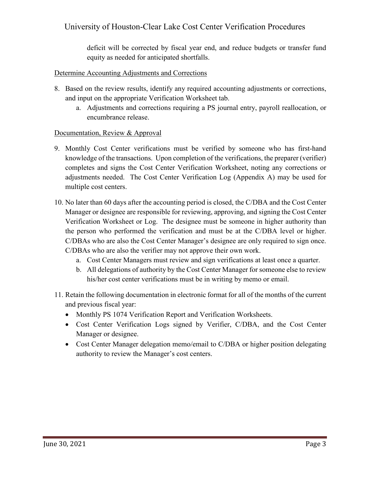## University of Houston-Clear Lake Cost Center Verification Procedures

deficit will be corrected by fiscal year end, and reduce budgets or transfer fund equity as needed for anticipated shortfalls.

#### Determine Accounting Adjustments and Corrections

- 8. Based on the review results, identify any required accounting adjustments or corrections, and input on the appropriate Verification Worksheet tab.
	- a. Adjustments and corrections requiring a PS journal entry, payroll reallocation, or encumbrance release.

#### Documentation, Review & Approval

- 9. Monthly Cost Center verifications must be verified by someone who has first-hand knowledge of the transactions. Upon completion of the verifications, the preparer (verifier) completes and signs the Cost Center Verification Worksheet, noting any corrections or adjustments needed. The Cost Center Verification Log (Appendix A) may be used for multiple cost centers.
- 10. No later than 60 days after the accounting period is closed, the C/DBA and the Cost Center Manager or designee are responsible for reviewing, approving, and signing the Cost Center Verification Worksheet or Log. The designee must be someone in higher authority than the person who performed the verification and must be at the C/DBA level or higher. C/DBAs who are also the Cost Center Manager's designee are only required to sign once. C/DBAs who are also the verifier may not approve their own work.
	- a. Cost Center Managers must review and sign verifications at least once a quarter.
	- b. All delegations of authority by the Cost Center Manager for someone else to review his/her cost center verifications must be in writing by memo or email.
- 11. Retain the following documentation in electronic format for all of the months of the current and previous fiscal year:
	- Monthly PS 1074 Verification Report and Verification Worksheets.
	- Cost Center Verification Logs signed by Verifier, C/DBA, and the Cost Center Manager or designee.
	- Cost Center Manager delegation memo/email to C/DBA or higher position delegating authority to review the Manager's cost centers.